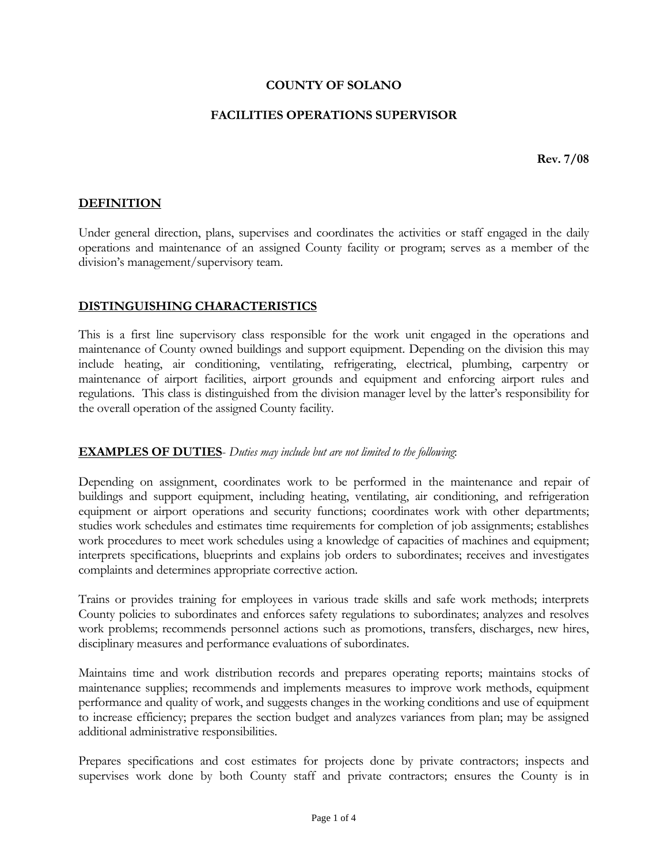#### **COUNTY OF SOLANO**

#### **FACILITIES OPERATIONS SUPERVISOR**

**Rev. 7/08** 

### **DEFINITION**

Under general direction, plans, supervises and coordinates the activities or staff engaged in the daily operations and maintenance of an assigned County facility or program; serves as a member of the division's management/supervisory team.

#### **DISTINGUISHING CHARACTERISTICS**

This is a first line supervisory class responsible for the work unit engaged in the operations and maintenance of County owned buildings and support equipment. Depending on the division this may include heating, air conditioning, ventilating, refrigerating, electrical, plumbing, carpentry or maintenance of airport facilities, airport grounds and equipment and enforcing airport rules and regulations. This class is distinguished from the division manager level by the latter's responsibility for the overall operation of the assigned County facility.

#### **EXAMPLES OF DUTIES**- *Duties may include but are not limited to the following*:

Depending on assignment, coordinates work to be performed in the maintenance and repair of buildings and support equipment, including heating, ventilating, air conditioning, and refrigeration equipment or airport operations and security functions; coordinates work with other departments; studies work schedules and estimates time requirements for completion of job assignments; establishes work procedures to meet work schedules using a knowledge of capacities of machines and equipment; interprets specifications, blueprints and explains job orders to subordinates; receives and investigates complaints and determines appropriate corrective action.

Trains or provides training for employees in various trade skills and safe work methods; interprets County policies to subordinates and enforces safety regulations to subordinates; analyzes and resolves work problems; recommends personnel actions such as promotions, transfers, discharges, new hires, disciplinary measures and performance evaluations of subordinates.

Maintains time and work distribution records and prepares operating reports; maintains stocks of maintenance supplies; recommends and implements measures to improve work methods, equipment performance and quality of work, and suggests changes in the working conditions and use of equipment to increase efficiency; prepares the section budget and analyzes variances from plan; may be assigned additional administrative responsibilities.

Prepares specifications and cost estimates for projects done by private contractors; inspects and supervises work done by both County staff and private contractors; ensures the County is in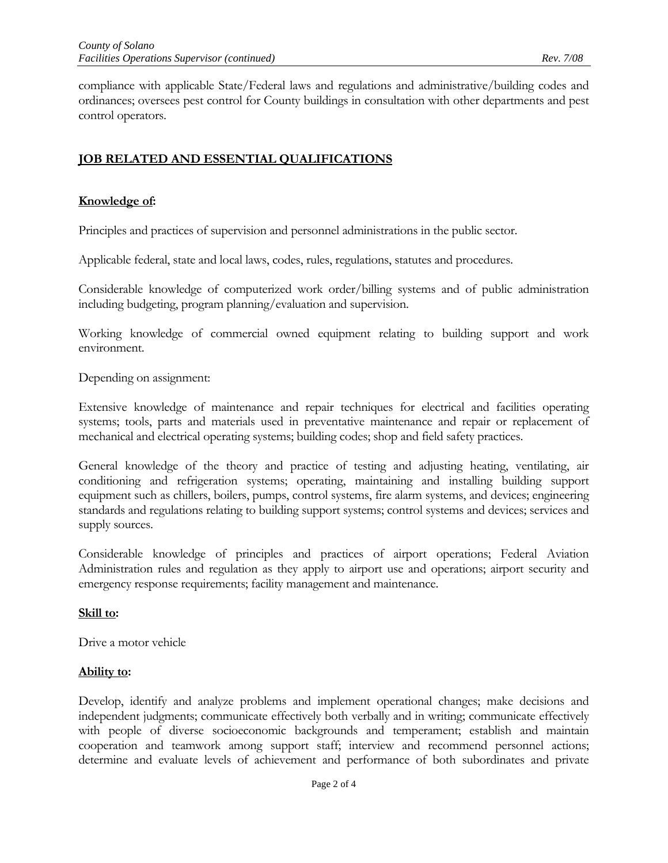compliance with applicable State/Federal laws and regulations and administrative/building codes and ordinances; oversees pest control for County buildings in consultation with other departments and pest control operators.

# **JOB RELATED AND ESSENTIAL QUALIFICATIONS**

### **Knowledge of:**

Principles and practices of supervision and personnel administrations in the public sector.

Applicable federal, state and local laws, codes, rules, regulations, statutes and procedures.

Considerable knowledge of computerized work order/billing systems and of public administration including budgeting, program planning/evaluation and supervision.

Working knowledge of commercial owned equipment relating to building support and work environment.

Depending on assignment:

Extensive knowledge of maintenance and repair techniques for electrical and facilities operating systems; tools, parts and materials used in preventative maintenance and repair or replacement of mechanical and electrical operating systems; building codes; shop and field safety practices.

General knowledge of the theory and practice of testing and adjusting heating, ventilating, air conditioning and refrigeration systems; operating, maintaining and installing building support equipment such as chillers, boilers, pumps, control systems, fire alarm systems, and devices; engineering standards and regulations relating to building support systems; control systems and devices; services and supply sources.

Considerable knowledge of principles and practices of airport operations; Federal Aviation Administration rules and regulation as they apply to airport use and operations; airport security and emergency response requirements; facility management and maintenance.

#### **Skill to:**

Drive a motor vehicle

#### **Ability to:**

Develop, identify and analyze problems and implement operational changes; make decisions and independent judgments; communicate effectively both verbally and in writing; communicate effectively with people of diverse socioeconomic backgrounds and temperament; establish and maintain cooperation and teamwork among support staff; interview and recommend personnel actions; determine and evaluate levels of achievement and performance of both subordinates and private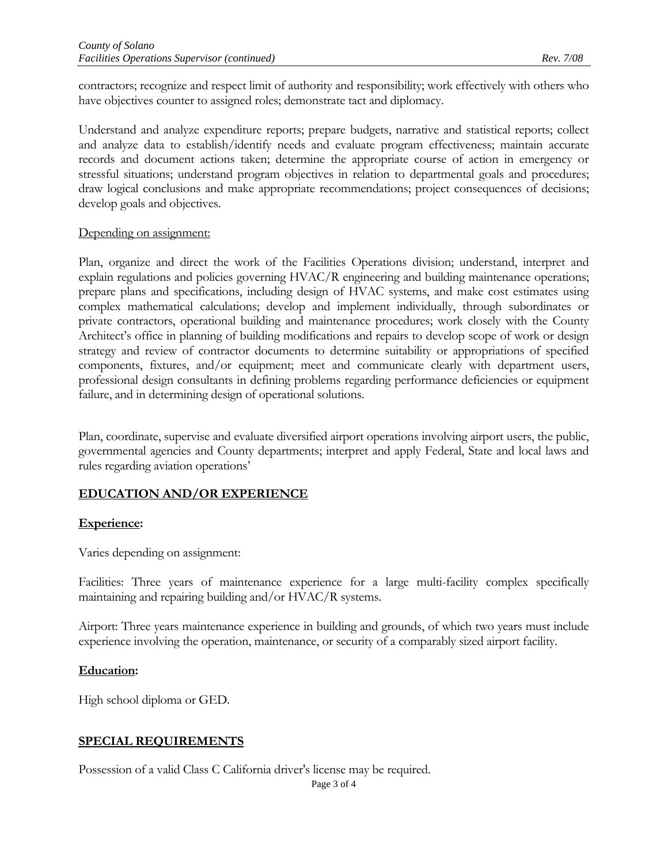contractors; recognize and respect limit of authority and responsibility; work effectively with others who have objectives counter to assigned roles; demonstrate tact and diplomacy.

Understand and analyze expenditure reports; prepare budgets, narrative and statistical reports; collect and analyze data to establish/identify needs and evaluate program effectiveness; maintain accurate records and document actions taken; determine the appropriate course of action in emergency or stressful situations; understand program objectives in relation to departmental goals and procedures; draw logical conclusions and make appropriate recommendations; project consequences of decisions; develop goals and objectives.

#### Depending on assignment:

Plan, organize and direct the work of the Facilities Operations division; understand, interpret and explain regulations and policies governing HVAC/R engineering and building maintenance operations; prepare plans and specifications, including design of HVAC systems, and make cost estimates using complex mathematical calculations; develop and implement individually, through subordinates or private contractors, operational building and maintenance procedures; work closely with the County Architect's office in planning of building modifications and repairs to develop scope of work or design strategy and review of contractor documents to determine suitability or appropriations of specified components, fixtures, and/or equipment; meet and communicate clearly with department users, professional design consultants in defining problems regarding performance deficiencies or equipment failure, and in determining design of operational solutions.

Plan, coordinate, supervise and evaluate diversified airport operations involving airport users, the public, governmental agencies and County departments; interpret and apply Federal, State and local laws and rules regarding aviation operations'

## **EDUCATION AND/OR EXPERIENCE**

#### **Experience:**

Varies depending on assignment:

Facilities: Three years of maintenance experience for a large multi-facility complex specifically maintaining and repairing building and/or HVAC/R systems.

Airport: Three years maintenance experience in building and grounds, of which two years must include experience involving the operation, maintenance, or security of a comparably sized airport facility.

#### **Education:**

High school diploma or GED.

## **SPECIAL REQUIREMENTS**

Possession of a valid Class C California driver's license may be required.